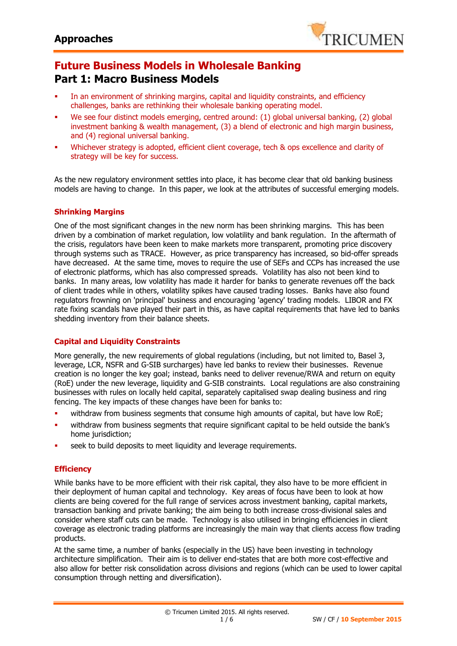

# **Future Business Models in Wholesale Banking Part 1: Macro Business Models**

- In an environment of shrinking margins, capital and liquidity constraints, and efficiency challenges, banks are rethinking their wholesale banking operating model.
- We see four distinct models emerging, centred around: (1) global universal banking, (2) global investment banking & wealth management, (3) a blend of electronic and high margin business, and (4) regional universal banking.
- Whichever strategy is adopted, efficient client coverage, tech & ops excellence and clarity of strategy will be key for success.

As the new regulatory environment settles into place, it has become clear that old banking business models are having to change. In this paper, we look at the attributes of successful emerging models.

## **Shrinking Margins**

One of the most significant changes in the new norm has been shrinking margins. This has been driven by a combination of market regulation, low volatility and bank regulation. In the aftermath of the crisis, regulators have been keen to make markets more transparent, promoting price discovery through systems such as TRACE. However, as price transparency has increased, so bid-offer spreads have decreased. At the same time, moves to require the use of SEFs and CCPs has increased the use of electronic platforms, which has also compressed spreads. Volatility has also not been kind to banks. In many areas, low volatility has made it harder for banks to generate revenues off the back of client trades while in others, volatility spikes have caused trading losses. Banks have also found regulators frowning on 'principal' business and encouraging 'agency' trading models. LIBOR and FX rate fixing scandals have played their part in this, as have capital requirements that have led to banks shedding inventory from their balance sheets.

## **Capital and Liquidity Constraints**

More generally, the new requirements of global regulations (including, but not limited to, Basel 3, leverage, LCR, NSFR and G-SIB surcharges) have led banks to review their businesses. Revenue creation is no longer the key goal; instead, banks need to deliver revenue/RWA and return on equity (RoE) under the new leverage, liquidity and G-SIB constraints. Local regulations are also constraining businesses with rules on locally held capital, separately capitalised swap dealing business and ring fencing. The key impacts of these changes have been for banks to:

- withdraw from business segments that consume high amounts of capital, but have low RoE;
- withdraw from business segments that require significant capital to be held outside the bank's home jurisdiction;
- seek to build deposits to meet liquidity and leverage requirements.

## **Efficiency**

While banks have to be more efficient with their risk capital, they also have to be more efficient in their deployment of human capital and technology. Key areas of focus have been to look at how clients are being covered for the full range of services across investment banking, capital markets, transaction banking and private banking; the aim being to both increase cross-divisional sales and consider where staff cuts can be made. Technology is also utilised in bringing efficiencies in client coverage as electronic trading platforms are increasingly the main way that clients access flow trading products.

At the same time, a number of banks (especially in the US) have been investing in technology architecture simplification. Their aim is to deliver end-states that are both more cost-effective and also allow for better risk consolidation across divisions and regions (which can be used to lower capital consumption through netting and diversification).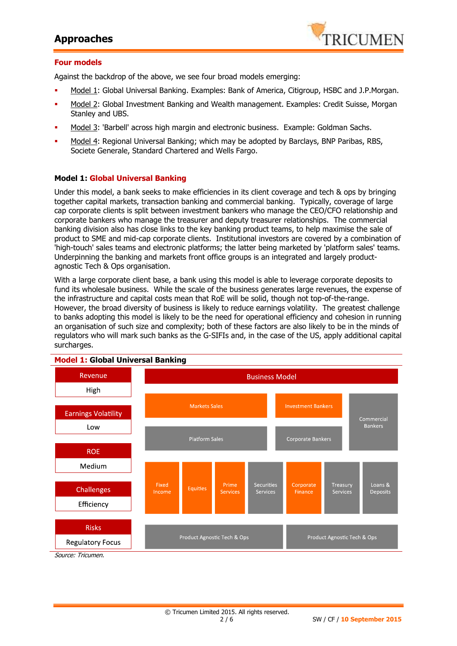## **Approaches**



#### **Four models**

Against the backdrop of the above, we see four broad models emerging:

- Model 1: Global Universal Banking. Examples: Bank of America, Citigroup, HSBC and J.P.Morgan.
- Model 2: Global Investment Banking and Wealth management. Examples: Credit Suisse, Morgan Stanley and UBS.
- Model 3: 'Barbell' across high margin and electronic business. Example: Goldman Sachs.
- Model 4: Regional Universal Banking; which may be adopted by Barclays, BNP Paribas, RBS, Societe Generale, Standard Chartered and Wells Fargo.

## **Model 1: Global Universal Banking**

Under this model, a bank seeks to make efficiencies in its client coverage and tech & ops by bringing together capital markets, transaction banking and commercial banking. Typically, coverage of large cap corporate clients is split between investment bankers who manage the CEO/CFO relationship and corporate bankers who manage the treasurer and deputy treasurer relationships. The commercial banking division also has close links to the key banking product teams, to help maximise the sale of product to SME and mid-cap corporate clients. Institutional investors are covered by a combination of 'high-touch' sales teams and electronic platforms; the latter being marketed by 'platform sales' teams. Underpinning the banking and markets front office groups is an integrated and largely productagnostic Tech & Ops organisation.

With a large corporate client base, a bank using this model is able to leverage corporate deposits to fund its wholesale business. While the scale of the business generates large revenues, the expense of the infrastructure and capital costs mean that RoE will be solid, though not top-of-the-range. However, the broad diversity of business is likely to reduce earnings volatility. The greatest challenge to banks adopting this model is likely to be the need for operational efficiency and cohesion in running an organisation of such size and complexity; both of these factors are also likely to be in the minds of regulators who will mark such banks as the G-SIFIs and, in the case of the US, apply additional capital surcharges.



Source: Tricumen.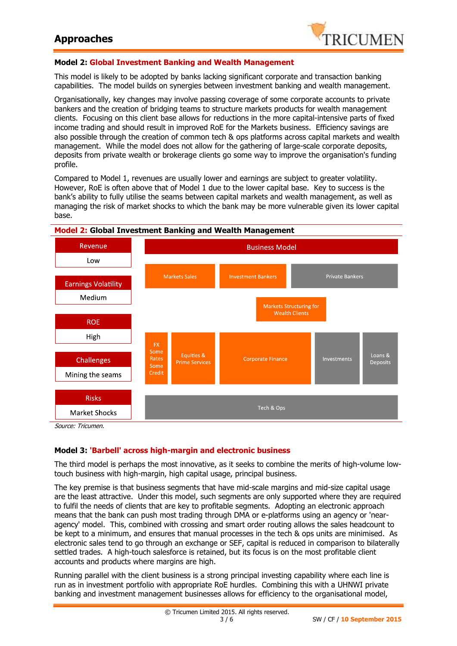

## **Model 2: Global Investment Banking and Wealth Management**

This model is likely to be adopted by banks lacking significant corporate and transaction banking capabilities. The model builds on synergies between investment banking and wealth management.

Organisationally, key changes may involve passing coverage of some corporate accounts to private bankers and the creation of bridging teams to structure markets products for wealth management clients. Focusing on this client base allows for reductions in the more capital-intensive parts of fixed income trading and should result in improved RoE for the Markets business. Efficiency savings are also possible through the creation of common tech & ops platforms across capital markets and wealth management. While the model does not allow for the gathering of large-scale corporate deposits, deposits from private wealth or brokerage clients go some way to improve the organisation's funding profile.

Compared to Model 1, revenues are usually lower and earnings are subject to greater volatility. However, RoE is often above that of Model 1 due to the lower capital base. Key to success is the bank's ability to fully utilise the seams between capital markets and wealth management, as well as managing the risk of market shocks to which the bank may be more vulnerable given its lower capital base.



#### **Model 2: Global Investment Banking and Wealth Management**

## **Model 3: 'Barbell' across high-margin and electronic business**

The third model is perhaps the most innovative, as it seeks to combine the merits of high-volume lowtouch business with high-margin, high capital usage, principal business.

The key premise is that business segments that have mid-scale margins and mid-size capital usage are the least attractive. Under this model, such segments are only supported where they are required to fulfil the needs of clients that are key to profitable segments. Adopting an electronic approach means that the bank can push most trading through DMA or e-platforms using an agency or 'nearagency' model. This, combined with crossing and smart order routing allows the sales headcount to be kept to a minimum, and ensures that manual processes in the tech & ops units are minimised. As electronic sales tend to go through an exchange or SEF, capital is reduced in comparison to bilaterally settled trades. A high-touch salesforce is retained, but its focus is on the most profitable client accounts and products where margins are high.

Running parallel with the client business is a strong principal investing capability where each line is run as in investment portfolio with appropriate RoE hurdles. Combining this with a UHNWI private banking and investment management businesses allows for efficiency to the organisational model,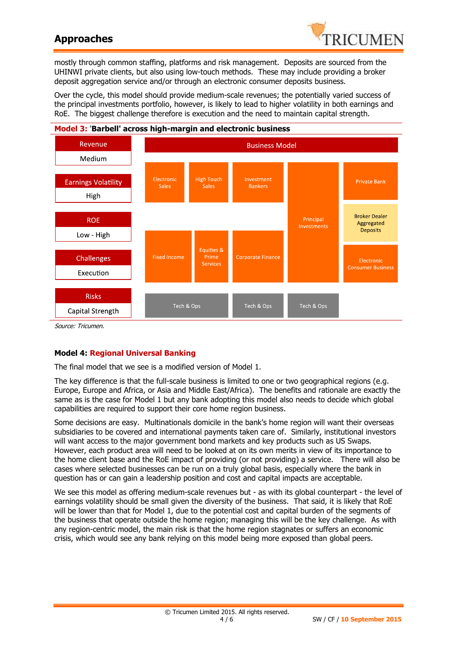## **Approaches**



mostly through common staffing, platforms and risk management. Deposits are sourced from the UHINWI private clients, but also using low-touch methods. These may include providing a broker deposit aggregation service and/or through an electronic consumer deposits business.

Over the cycle, this model should provide medium-scale revenues; the potentially varied success of the principal investments portfolio, however, is likely to lead to higher volatility in both earnings and RoE. The biggest challenge therefore is execution and the need to maintain capital strength.



Source: Tricumen.

## **Model 4: Regional Universal Banking**

The final model that we see is a modified version of Model 1.

The key difference is that the full-scale business is limited to one or two geographical regions (e.g. Europe, Europe and Africa, or Asia and Middle East/Africa). The benefits and rationale are exactly the same as is the case for Model 1 but any bank adopting this model also needs to decide which global capabilities are required to support their core home region business.

Some decisions are easy. Multinationals domicile in the bank's home region will want their overseas subsidiaries to be covered and international payments taken care of. Similarly, institutional investors will want access to the major government bond markets and key products such as US Swaps. However, each product area will need to be looked at on its own merits in view of its importance to the home client base and the RoE impact of providing (or not providing) a service. There will also be cases where selected businesses can be run on a truly global basis, especially where the bank in question has or can gain a leadership position and cost and capital impacts are acceptable.

We see this model as offering medium-scale revenues but - as with its global counterpart - the level of earnings volatility should be small given the diversity of the business. That said, it is likely that RoE will be lower than that for Model 1, due to the potential cost and capital burden of the segments of the business that operate outside the home region; managing this will be the key challenge. As with any region-centric model, the main risk is that the home region stagnates or suffers an economic crisis, which would see any bank relying on this model being more exposed than global peers.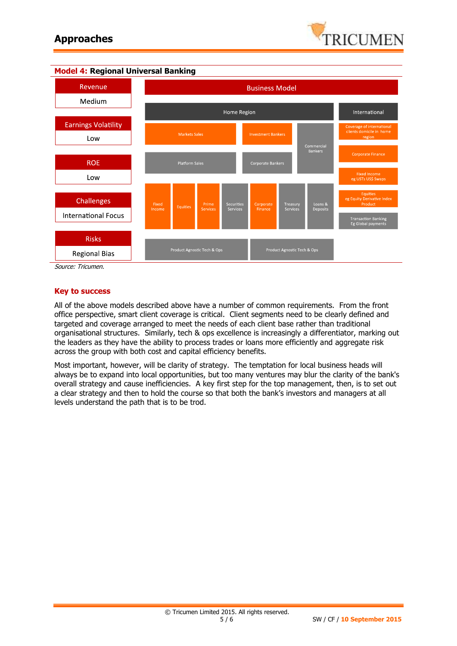



**Model 4: Regional Universal Banking**

Source: Tricumen.

#### **Key to success**

All of the above models described above have a number of common requirements. From the front office perspective, smart client coverage is critical. Client segments need to be clearly defined and targeted and coverage arranged to meet the needs of each client base rather than traditional organisational structures. Similarly, tech & ops excellence is increasingly a differentiator, marking out the leaders as they have the ability to process trades or loans more efficiently and aggregate risk across the group with both cost and capital efficiency benefits.

Most important, however, will be clarity of strategy. The temptation for local business heads will always be to expand into local opportunities, but too many ventures may blur the clarity of the bank's overall strategy and cause inefficiencies. A key first step for the top management, then, is to set out a clear strategy and then to hold the course so that both the bank's investors and managers at all levels understand the path that is to be trod.